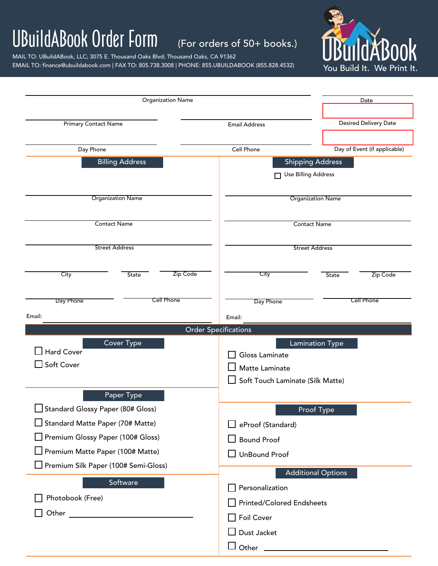## UBuildABook Order Form (For orders of 50+ books.)

MAIL TO: UBuildABook, LLC; 3075 E. Thousand Oaks Blvd; Thousand Oaks, CA 91362

EMAIL TO: finance@ubuildabook.com | FAX TO: 805.738.3008 | PHONE: 855.UBUILDABOOK (855.828.4532)



| <b>Organization Name</b>                                                                                                                                                                                    |                                                                                  | Date                                           |  |  |
|-------------------------------------------------------------------------------------------------------------------------------------------------------------------------------------------------------------|----------------------------------------------------------------------------------|------------------------------------------------|--|--|
| <b>Primary Contact Name</b>                                                                                                                                                                                 | Desired Delivery Date<br><b>Email Address</b>                                    |                                                |  |  |
| Day Phone                                                                                                                                                                                                   | Cell Phone                                                                       | Day of Event (if applicable)                   |  |  |
| <b>Billing Address</b>                                                                                                                                                                                      |                                                                                  | <b>Shipping Address</b><br>Use Billing Address |  |  |
| <b>Organization Name</b>                                                                                                                                                                                    |                                                                                  | <b>Organization Name</b>                       |  |  |
| <b>Contact Name</b>                                                                                                                                                                                         |                                                                                  | <b>Contact Name</b>                            |  |  |
| <b>Street Address</b>                                                                                                                                                                                       |                                                                                  | <b>Street Address</b>                          |  |  |
| City<br>Zip Code<br>State                                                                                                                                                                                   | City                                                                             | Zip Code<br><b>State</b>                       |  |  |
| Cell Phone<br>Day Phone                                                                                                                                                                                     | Day Phone                                                                        | <b>Cell Phone</b>                              |  |  |
| Email:                                                                                                                                                                                                      | Email:<br><b>Order Specifications</b>                                            |                                                |  |  |
| <b>Cover Type</b><br>Hard Cover<br>Soft Cover                                                                                                                                                               | Gloss Laminate<br>Matte Laminate<br>Soft Touch Laminate (Silk Matte)             | <b>Lamination Type</b>                         |  |  |
| Paper Type<br>Standard Glossy Paper (80# Gloss)<br>$\Box$ Standard Matte Paper (70# Matte)<br>Premium Glossy Paper (100# Gloss)<br>Premium Matte Paper (100# Matte)<br>Premium Silk Paper (100# Semi-Gloss) | eProof (Standard)<br><b>Bound Proof</b><br><b>UnBound Proof</b>                  | Proof Type                                     |  |  |
| Software<br>Photobook (Free)                                                                                                                                                                                | Personalization<br><b>Printed/Colored Endsheets</b><br>Foil Cover<br>Dust Jacket | <b>Additional Options</b>                      |  |  |